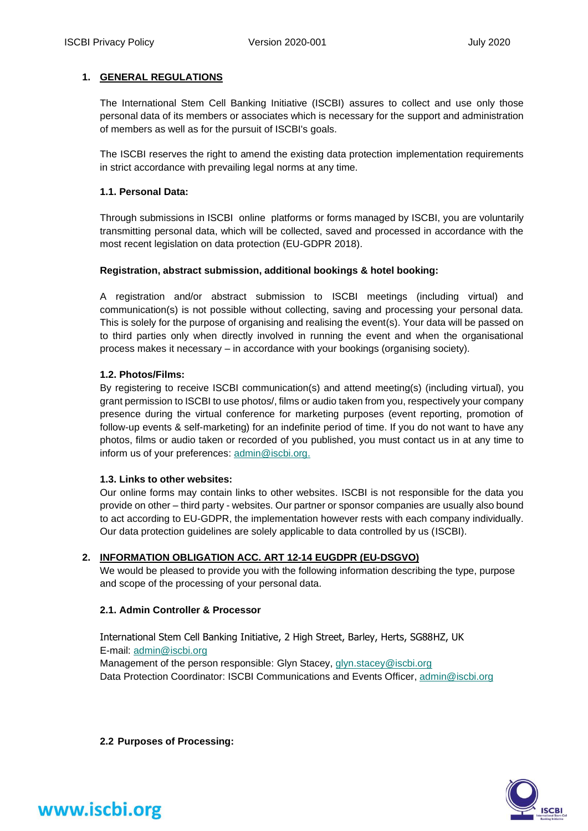### **1. GENERAL REGULATIONS**

The International Stem Cell Banking Initiative (ISCBI) assures to collect and use only those personal data of its members or associates which is necessary for the support and administration of members as well as for the pursuit of ISCBI's goals.

The ISCBI reserves the right to amend the existing data protection implementation requirements in strict accordance with prevailing legal norms at any time.

### **1.1. Personal Data:**

Through submissions in ISCBI online platforms or forms managed by ISCBI, you are voluntarily transmitting personal data, which will be collected, saved and processed in accordance with the most recent legislation on data protection (EU-GDPR 2018).

### **Registration, abstract submission, additional bookings & hotel booking:**

A registration and/or abstract submission to ISCBI meetings (including virtual) and communication(s) is not possible without collecting, saving and processing your personal data. This is solely for the purpose of organising and realising the event(s). Your data will be passed on to third parties only when directly involved in running the event and when the organisational process makes it necessary – in accordance with your bookings (organising society).

### **1.2. Photos/Films:**

By registering to receive ISCBI communication(s) and attend meeting(s) (including virtual), you grant permission to ISCBI to use photos/, films or audio taken from you, respectively your company presence during the virtual conference for marketing purposes (event reporting, promotion of follow-up events & self-marketing) for an indefinite period of time. If you do not want to have any photos, films or audio taken or recorded of you published, you must contact us in at any time to inform us of your preferences: [admin@iscbi.org.](mailto:admin@iscbi.org)

### **1.3. Links to other websites:**

Our online forms may contain links to other websites. ISCBI is not responsible for the data you provide on other – third party - websites. Our partner or sponsor companies are usually also bound to act according to EU-GDPR, the implementation however rests with each company individually. Our data protection guidelines are solely applicable to data controlled by us (ISCBI).

### **2. INFORMATION OBLIGATION ACC. ART 12-14 EUGDPR (EU-DSGVO)**

We would be pleased to provide you with the following information describing the type, purpose and scope of the processing of your personal data.

### **2.1. Admin Controller & Processor**

International Stem Cell Banking Initiative, 2 High Street, Barley, Herts, SG88HZ, UK E-mail: [admin@iscbi.org](mailto:admin@iscbi.org) Management of the person responsible: Glyn Stacey[, glyn.stacey@iscbi.org](mailto:glyn.stacey@iscbi.org) Data Protection Coordinator: ISCBI Communications and Events Officer[, admin@iscbi.org](mailto:admin@iscbi.org)

**2.2 Purposes of Processing:**

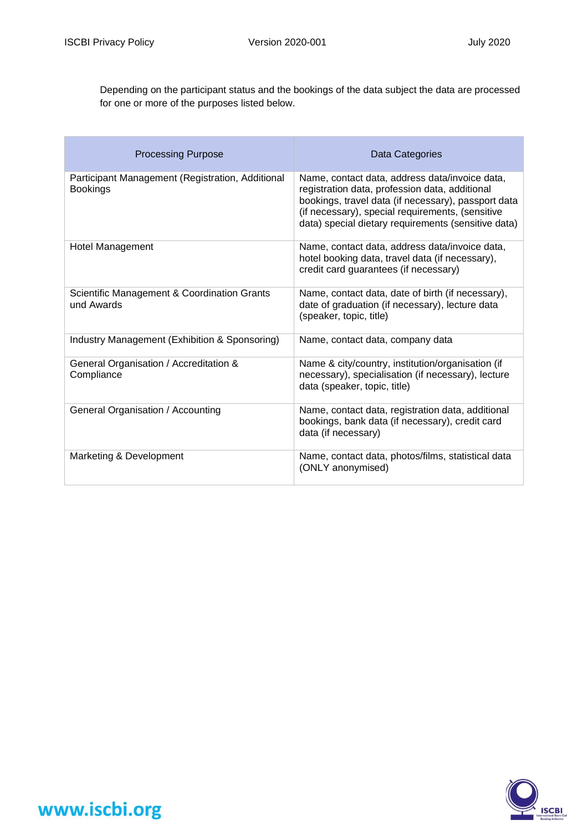Depending on the participant status and the bookings of the data subject the data are processed for one or more of the purposes listed below.

| <b>Processing Purpose</b>                                           | Data Categories                                                                                                                                                                                                                                                    |
|---------------------------------------------------------------------|--------------------------------------------------------------------------------------------------------------------------------------------------------------------------------------------------------------------------------------------------------------------|
| Participant Management (Registration, Additional<br><b>Bookings</b> | Name, contact data, address data/invoice data,<br>registration data, profession data, additional<br>bookings, travel data (if necessary), passport data<br>(if necessary), special requirements, (sensitive<br>data) special dietary requirements (sensitive data) |
| <b>Hotel Management</b>                                             | Name, contact data, address data/invoice data,<br>hotel booking data, travel data (if necessary),<br>credit card guarantees (if necessary)                                                                                                                         |
| Scientific Management & Coordination Grants<br>und Awards           | Name, contact data, date of birth (if necessary),<br>date of graduation (if necessary), lecture data<br>(speaker, topic, title)                                                                                                                                    |
| Industry Management (Exhibition & Sponsoring)                       | Name, contact data, company data                                                                                                                                                                                                                                   |
| General Organisation / Accreditation &<br>Compliance                | Name & city/country, institution/organisation (if<br>necessary), specialisation (if necessary), lecture<br>data (speaker, topic, title)                                                                                                                            |
| General Organisation / Accounting                                   | Name, contact data, registration data, additional<br>bookings, bank data (if necessary), credit card<br>data (if necessary)                                                                                                                                        |
| Marketing & Development                                             | Name, contact data, photos/films, statistical data<br>(ONLY anonymised)                                                                                                                                                                                            |

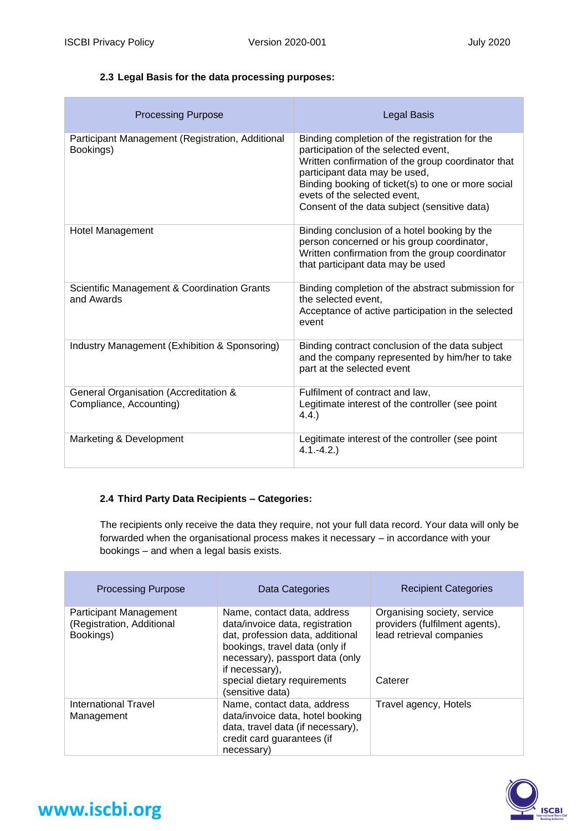### **2.3 Legal Basis for the data processing purposes:**

| <b>Processing Purpose</b>                                        | <b>Legal Basis</b>                                                                                                                                                                                                                                                                                                  |
|------------------------------------------------------------------|---------------------------------------------------------------------------------------------------------------------------------------------------------------------------------------------------------------------------------------------------------------------------------------------------------------------|
| Participant Management (Registration, Additional<br>Bookings)    | Binding completion of the registration for the<br>participation of the selected event,<br>Written confirmation of the group coordinator that<br>participant data may be used,<br>Binding booking of ticket(s) to one or more social<br>evets of the selected event.<br>Consent of the data subject (sensitive data) |
| <b>Hotel Management</b>                                          | Binding conclusion of a hotel booking by the<br>person concerned or his group coordinator,<br>Written confirmation from the group coordinator<br>that participant data may be used                                                                                                                                  |
| Scientific Management & Coordination Grants<br>and Awards        | Binding completion of the abstract submission for<br>the selected event,<br>Acceptance of active participation in the selected<br>event                                                                                                                                                                             |
| Industry Management (Exhibition & Sponsoring)                    | Binding contract conclusion of the data subject<br>and the company represented by him/her to take<br>part at the selected event                                                                                                                                                                                     |
| General Organisation (Accreditation &<br>Compliance, Accounting) | Fulfilment of contract and law,<br>Legitimate interest of the controller (see point<br>4.4.                                                                                                                                                                                                                         |
| Marketing & Development                                          | Legitimate interest of the controller (see point<br>$4.1 - 4.2.$                                                                                                                                                                                                                                                    |

### **2.4 Third Party Data Recipients – Categories:**

The recipients only receive the data they require, not your full data record. Your data will only be forwarded when the organisational process makes it necessary – in accordance with your bookings – and when a legal basis exists.

| <b>Processing Purpose</b>                                        | Data Categories                                                                                                                                                                                                                               | <b>Recipient Categories</b>                                                                          |
|------------------------------------------------------------------|-----------------------------------------------------------------------------------------------------------------------------------------------------------------------------------------------------------------------------------------------|------------------------------------------------------------------------------------------------------|
| Participant Management<br>(Registration, Additional<br>Bookings) | Name, contact data, address<br>data/invoice data, registration<br>dat, profession data, additional<br>bookings, travel data (only if<br>necessary), passport data (only<br>if necessary),<br>special dietary requirements<br>(sensitive data) | Organising society, service<br>providers (fulfilment agents),<br>lead retrieval companies<br>Caterer |
| International Travel<br>Management                               | Name, contact data, address<br>data/invoice data, hotel booking<br>data, travel data (if necessary),<br>credit card guarantees (if<br>necessary)                                                                                              | Travel agency, Hotels                                                                                |

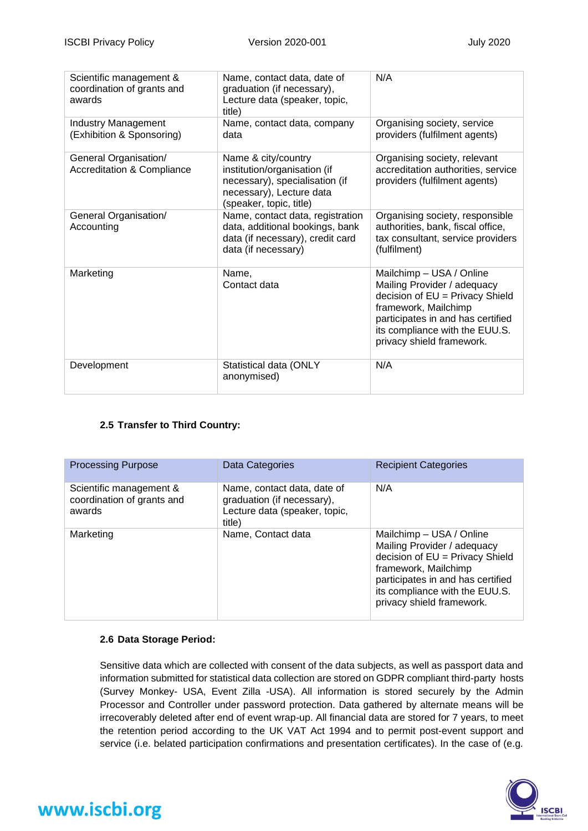| Scientific management &<br>coordination of grants and<br>awards | Name, contact data, date of<br>graduation (if necessary),<br>Lecture data (speaker, topic,<br>title)                                         | N/A                                                                                                                                                                                                                    |
|-----------------------------------------------------------------|----------------------------------------------------------------------------------------------------------------------------------------------|------------------------------------------------------------------------------------------------------------------------------------------------------------------------------------------------------------------------|
| <b>Industry Management</b><br>(Exhibition & Sponsoring)         | Name, contact data, company<br>data                                                                                                          | Organising society, service<br>providers (fulfilment agents)                                                                                                                                                           |
| General Organisation/<br><b>Accreditation &amp; Compliance</b>  | Name & city/country<br>institution/organisation (if<br>necessary), specialisation (if<br>necessary), Lecture data<br>(speaker, topic, title) | Organising society, relevant<br>accreditation authorities, service<br>providers (fulfilment agents)                                                                                                                    |
| General Organisation/<br>Accounting                             | Name, contact data, registration<br>data, additional bookings, bank<br>data (if necessary), credit card<br>data (if necessary)               | Organising society, responsible<br>authorities, bank, fiscal office,<br>tax consultant, service providers<br>(fulfilment)                                                                                              |
| Marketing                                                       | Name,<br>Contact data                                                                                                                        | Mailchimp - USA / Online<br>Mailing Provider / adequacy<br>decision of EU = Privacy Shield<br>framework, Mailchimp<br>participates in and has certified<br>its compliance with the EUU.S.<br>privacy shield framework. |
| Development                                                     | Statistical data (ONLY<br>anonymised)                                                                                                        | N/A                                                                                                                                                                                                                    |

### **2.5 Transfer to Third Country:**

| <b>Processing Purpose</b>                                       | Data Categories                                                                                      | <b>Recipient Categories</b>                                                                                                                                                                                            |
|-----------------------------------------------------------------|------------------------------------------------------------------------------------------------------|------------------------------------------------------------------------------------------------------------------------------------------------------------------------------------------------------------------------|
| Scientific management &<br>coordination of grants and<br>awards | Name, contact data, date of<br>graduation (if necessary),<br>Lecture data (speaker, topic,<br>title) | N/A                                                                                                                                                                                                                    |
| Marketing                                                       | Name, Contact data                                                                                   | Mailchimp - USA / Online<br>Mailing Provider / adequacy<br>decision of EU = Privacy Shield<br>framework, Mailchimp<br>participates in and has certified<br>its compliance with the EUU.S.<br>privacy shield framework. |

### **2.6 Data Storage Period:**

Sensitive data which are collected with consent of the data subjects, as well as passport data and information submitted for statistical data collection are stored on GDPR compliant third-party hosts (Survey Monkey- USA, Event Zilla -USA). All information is stored securely by the Admin Processor and Controller under password protection. Data gathered by alternate means will be irrecoverably deleted after end of event wrap-up. All financial data are stored for 7 years, to meet the retention period according to the UK VAT Act 1994 and to permit post-event support and service (i.e. belated participation confirmations and presentation certificates). In the case of (e.g.

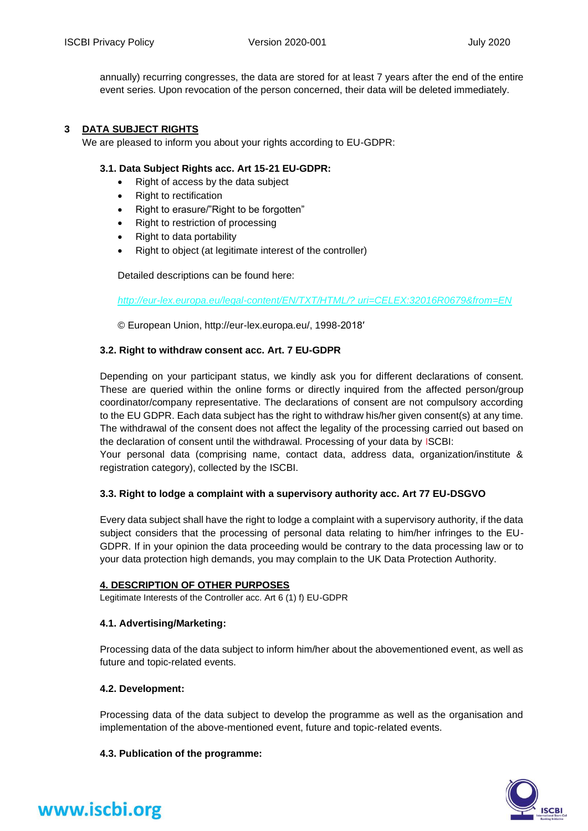annually) recurring congresses, the data are stored for at least 7 years after the end of the entire event series. Upon revocation of the person concerned, their data will be deleted immediately.

### **3 DATA SUBJECT RIGHTS**

We are pleased to inform you about your rights according to EU-GDPR:

### **3.1. Data Subject Rights acc. Art 15-21 EU-GDPR:**

- Right of access by the data subject
- Right to rectification
- Right to erasure/"Right to be forgotten"
- Right to restriction of processing
- Right to data portability
- Right to object (at legitimate interest of the controller)

Detailed descriptions can be found here:

*[http://eur-lex.europa.eu/legal-content/EN/TXT/HTML/? uri=CELEX:32016R0679&from=EN](http://eur-lex.europa.eu/legal-content/EN/TXT/HTML/?%20uri=CELEX:32016R0679&from=EN)*

© European Union, http://eur-lex.europa.eu/, 1998-2018′

### **3.2. Right to withdraw consent acc. Art. 7 EU-GDPR**

Depending on your participant status, we kindly ask you for different declarations of consent. These are queried within the online forms or directly inquired from the affected person/group coordinator/company representative. The declarations of consent are not compulsory according to the EU GDPR. Each data subject has the right to withdraw his/her given consent(s) at any time. The withdrawal of the consent does not affect the legality of the processing carried out based on the declaration of consent until the withdrawal. Processing of your data by ISCBI:

Your personal data (comprising name, contact data, address data, organization/institute & registration category), collected by the ISCBI.

### **3.3. Right to lodge a complaint with a supervisory authority acc. Art 77 EU-DSGVO**

Every data subject shall have the right to lodge a complaint with a supervisory authority, if the data subject considers that the processing of personal data relating to him/her infringes to the EU-GDPR. If in your opinion the data proceeding would be contrary to the data processing law or to your data protection high demands, you may complain to the UK Data Protection Authority.

### **4. DESCRIPTION OF OTHER PURPOSES**

Legitimate Interests of the Controller acc. Art 6 (1) f) EU-GDPR

### **4.1. Advertising/Marketing:**

Processing data of the data subject to inform him/her about the abovementioned event, as well as future and topic-related events.

### **4.2. Development:**

Processing data of the data subject to develop the programme as well as the organisation and implementation of the above-mentioned event, future and topic-related events.

### **4.3. Publication of the programme:**